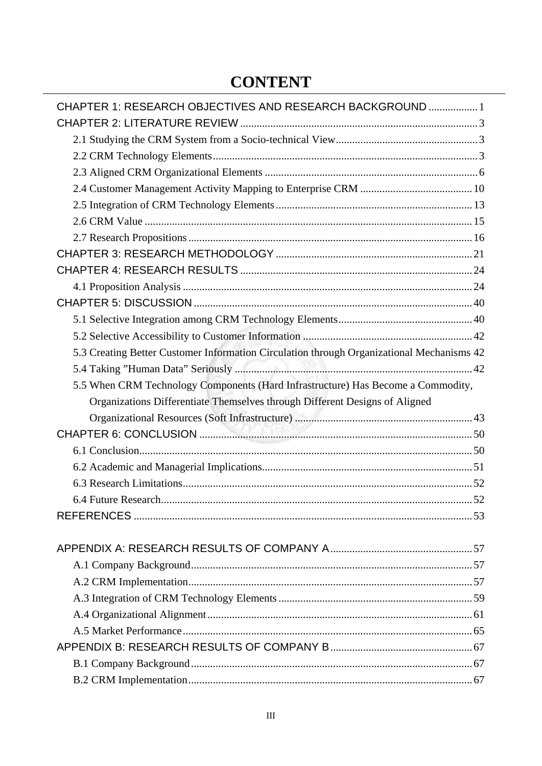## **CONTENT**

| CHAPTER 1: RESEARCH OBJECTIVES AND RESEARCH BACKGROUND  1                                 |  |
|-------------------------------------------------------------------------------------------|--|
|                                                                                           |  |
|                                                                                           |  |
|                                                                                           |  |
|                                                                                           |  |
|                                                                                           |  |
|                                                                                           |  |
|                                                                                           |  |
|                                                                                           |  |
|                                                                                           |  |
|                                                                                           |  |
|                                                                                           |  |
|                                                                                           |  |
|                                                                                           |  |
|                                                                                           |  |
| 5.3 Creating Better Customer Information Circulation through Organizational Mechanisms 42 |  |
|                                                                                           |  |
| 5.5 When CRM Technology Components (Hard Infrastructure) Has Become a Commodity,          |  |
| Organizations Differentiate Themselves through Different Designs of Aligned               |  |
|                                                                                           |  |
|                                                                                           |  |
|                                                                                           |  |
|                                                                                           |  |
|                                                                                           |  |
|                                                                                           |  |
|                                                                                           |  |
|                                                                                           |  |
|                                                                                           |  |
|                                                                                           |  |
|                                                                                           |  |
|                                                                                           |  |
|                                                                                           |  |
|                                                                                           |  |
|                                                                                           |  |
|                                                                                           |  |
|                                                                                           |  |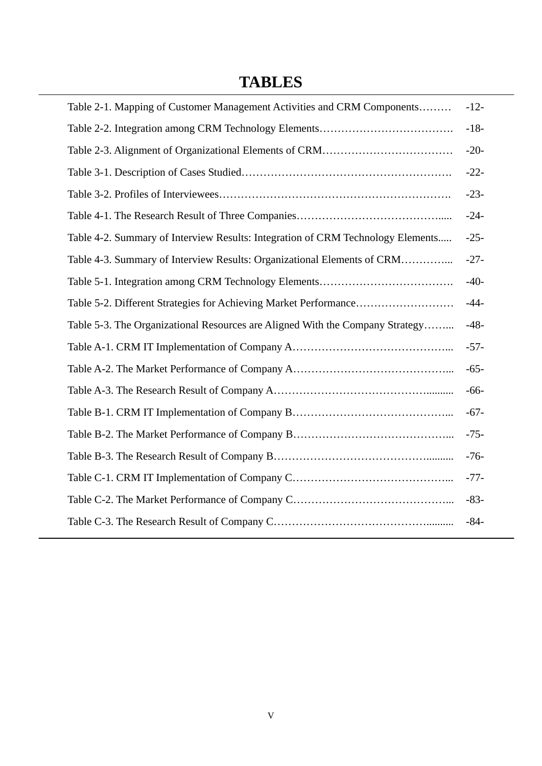## **TABLES**

| Table 2-1. Mapping of Customer Management Activities and CRM Components         | $-12-$ |
|---------------------------------------------------------------------------------|--------|
|                                                                                 | $-18-$ |
|                                                                                 | $-20-$ |
|                                                                                 | $-22-$ |
|                                                                                 | $-23-$ |
|                                                                                 | $-24-$ |
| Table 4-2. Summary of Interview Results: Integration of CRM Technology Elements | $-25-$ |
| Table 4-3. Summary of Interview Results: Organizational Elements of CRM         | $-27-$ |
|                                                                                 | $-40-$ |
|                                                                                 | $-44-$ |
| Table 5-3. The Organizational Resources are Aligned With the Company Strategy   | $-48-$ |
|                                                                                 | $-57-$ |
|                                                                                 | $-65-$ |
|                                                                                 | $-66-$ |
|                                                                                 | $-67-$ |
|                                                                                 | $-75-$ |
|                                                                                 | $-76-$ |
|                                                                                 | $-77-$ |
|                                                                                 | $-83-$ |
|                                                                                 | $-84-$ |